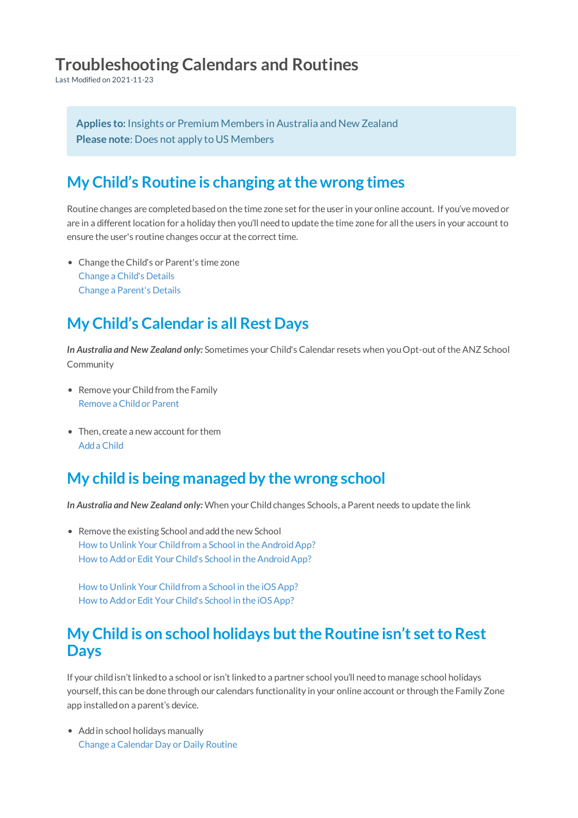# **Troubleshooting Calendars and Routines**

Last Modified on 2021-11-23

**Applies to:** Insights or Premium Members in Australia and New Zealand **Please note**: Does not apply to US Members

### **My Child's Routine is changing atthe wrong times**

Routine changes are completedbasedon the time zone set for the user in your online account. If you've movedor are in a different location for a holiday then you'll needto update the time zone for allthe users in your account to ensure the user's routine changes occur at the correct time.

Change theChild's or Parent's time zone Change a Child's Details Change a Parent's Details

# **My Child's Calendar is all Rest Days**

In Australia and New Zealand only: Sometimes your Child's Calendar resets when you Opt-out of the ANZ School Community

- Remove your Child from the Family Remove a Childor Parent
- Then, create a new account for them Adda Child

#### **My child is being managed by the wrong school**

In Australia and New Zealand only: When your Child changes Schools, a Parent needs to update the link

- Remove the existing School and add the new School How to Unlink Your Child from a School in the Android App? How to Add or Edit Your Child's School in the Android App?
	- How to Unlink Your Child from a School in the iOS App? How to Add or Edit Your Child's School in the iOS App?

#### **My Child is on school holidays butthe Routine isn't setto Rest Days**

If your child isn't linked to a school or isn't linked to a partner school you'll need to manage school holidays yourself, this can be done through our calendars functionality in your online account or through the Family Zone app installedon a parent's device.

• Add in school holidays manually Change a Calendar Day or Daily Routine